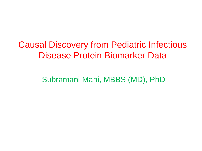Causal Discovery from Pediatric Infectious Disease Protein Biomarker Data

Subramani Mani, MBBS (MD), PhD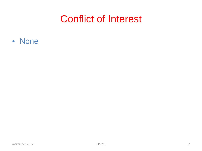#### Conflict of Interest

• None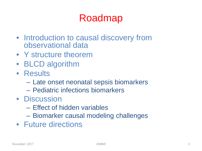## Roadmap

- Introduction to causal discovery from observational data
- Y structure theorem
- BLCD algorithm
- Results
	- Late onset neonatal sepsis biomarkers
	- Pediatric infections biomarkers
- Discussion
	- Effect of hidden variables
	- Biomarker causal modeling challenges
- Future directions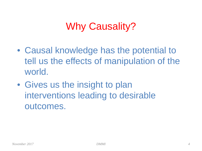# Why Causality?

- Causal knowledge has the potential to tell us the effects of manipulation of the world.
- Gives us the insight to plan interventions leading to desirable outcomes.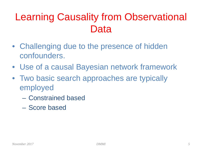# Learning Causality from Observational Data

- Challenging due to the presence of hidden confounders.
- Use of a causal Bayesian network framework
- Two basic search approaches are typically employed
	- Constrained based
	- Score based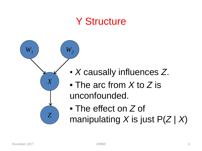## Y Structure



- *X* causally influences *Z*.
- The arc from *X* to *Z* is unconfounded.
- The effect on *Z* of manipulating *X* is just P(*Z* | *X*)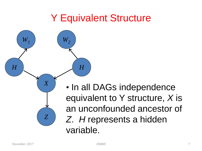## Y Equivalent Structure

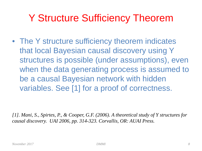## Y Structure Sufficiency Theorem

• The Y structure sufficiency theorem indicates that local Bayesian causal discovery using Y structures is possible (under assumptions), even when the data generating process is assumed to be a causal Bayesian network with hidden variables. See [1] for a proof of correctness.

*[1]. Mani, S., Spirtes, P., & Cooper, G.F. (2006). A theoretical study of Y structures for causal discovery. UAI 2006, pp. 314-323. Corvallis, OR: AUAI Press.*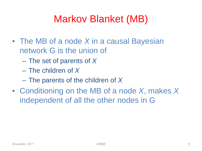# Markov Blanket (MB)

- The MB of a node *X* in a causal Bayesian network G is the union of
	- The set of parents of *X*
	- The children of *X*
	- The parents of the children of *X*
- Conditioning on the MB of a node *X*, makes *X* independent of all the other nodes in G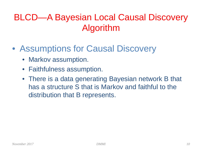#### BLCD—A Bayesian Local Causal Discovery Algorithm

- Assumptions for Causal Discovery
	- Markov assumption.
	- Faithfulness assumption.
	- There is a data generating Bayesian network B that has a structure S that is Markov and faithful to the distribution that B represents.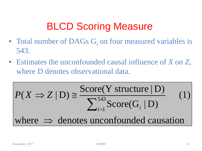# BLCD Scoring Measure

- Total number of DAGs G<sub>i</sub> on four measured variables is 543.
- Estimates the unconfounded causal influence of *X* on *Z*, where D denotes observational data.

$$
P(X \Rightarrow Z | D) \cong \frac{\text{Score}(Y \text{ structure} | D)}{\sum_{i=1}^{543} \text{Score}(G_i | D)}
$$
  
where  $\Rightarrow$  denotes unconfounded causation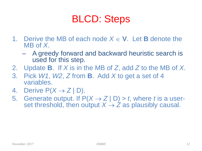# BLCD: Steps

- 1. Derive the MB of each node  $X \in V$ . Let **B** denote the MB of *X*.
	- A greedy forward and backward heuristic search is used for this step.
- 2. Update **B**. If *X* is in the MB of *Z*, add *Z* to the MB of *X*.
- 3. Pick *W1*, *W2*, *Z* from **B**. Add *X* to get a set of 4 variables.
- 4. Derive  $P(X \rightarrow Z | D)$ .
- 5. Generate output. If  $P(X \rightarrow Z | D) > t$ , where *t* is a user-<br>set threshold, then output  $X \rightarrow Z$  as plausibly causal.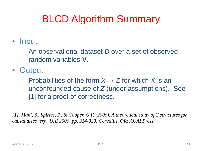# BLCD Algorithm Summary

- Input
	- An observational dataset *D* over a set of observed random variables **V**.
- Output
	- Probabilities of the form  $X \rightarrow Z$  for which X is an unconfounded cause of *Z* (under assumptions). See [1] for a proof of correctness.

*[1]. Mani, S., Spirtes, P., & Cooper, G.F. (2006). A theoretical study of Y structures for causal discovery. UAI 2006, pp. 314-323. Corvallis, OR: AUAI Press.*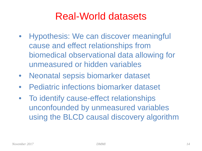### Real-World datasets

- Hypothesis: We can discover meaningful cause and effect relationships from biomedical observational data allowing for unmeasured or hidden variables
- Neonatal sepsis biomarker dataset
- Pediatric infections biomarker dataset
- To identify cause-effect relationships unconfounded by unmeasured variables using the BLCD causal discovery algorithm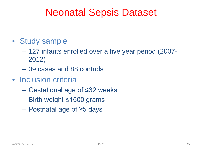### Neonatal Sepsis Dataset

- Study sample
	- 127 infants enrolled over a five year period (2007- 2012)
	- 39 cases and 88 controls
- Inclusion criteria
	- Gestational age of ≤32 weeks
	- Birth weight ≤1500 grams
	- Postnatal age of ≥5 days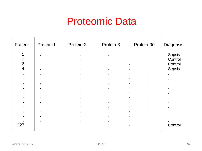## Proteomic Data

| Patient                                                                                                                                                                                                 | Protein-1                                                                                                   | Protein-2                                                                                                                                                                                       | Protein-3                                                                                                                                                                                 | . Protein-90                                                                                                                                                                                                                                                                                                                                                                                              | Diagnosis                                                                              |
|---------------------------------------------------------------------------------------------------------------------------------------------------------------------------------------------------------|-------------------------------------------------------------------------------------------------------------|-------------------------------------------------------------------------------------------------------------------------------------------------------------------------------------------------|-------------------------------------------------------------------------------------------------------------------------------------------------------------------------------------------|-----------------------------------------------------------------------------------------------------------------------------------------------------------------------------------------------------------------------------------------------------------------------------------------------------------------------------------------------------------------------------------------------------------|----------------------------------------------------------------------------------------|
| 1<br>$\overline{2}$<br>3<br>$\overline{4}$<br>$\bullet$<br>$\mathbf{r}$<br>$\bullet$<br>$\bullet$<br>$\bullet$ .<br>$\bullet$<br>$\blacksquare$<br>$\blacksquare$<br>$\blacksquare$<br>$\bullet$<br>127 | $\blacksquare$<br>$\blacksquare$<br>$\bullet$<br>$\bullet$<br>$\bullet$<br>$\blacksquare$<br>$\blacksquare$ | $\bullet$<br>$\bullet$<br>$\bullet$<br>$\bullet$<br>$\blacksquare$<br>$\mathbf{r}$<br>$\bullet$<br>$\bullet$<br>$\bullet$<br>$\bullet$<br>$\bullet$<br>$\blacksquare$<br>$\bullet$<br>$\bullet$ | $\bullet$<br>$\bullet$<br>$\bullet$<br>$\sim$<br>$\mathbf{r}$<br>$\bullet$<br>$\bullet$<br>$\bullet$<br>$\bullet$<br>$\bullet$<br>$\bullet$ .<br>$\blacksquare$<br>$\bullet$<br>$\bullet$ | $\bullet$<br>$\blacksquare$<br>$\sim$<br>$\bullet$<br>$\bullet$<br>$\bullet$<br>$\bullet$<br>$\bullet$<br>$\bullet$<br>$\bullet$<br>$\bullet$<br>$\bullet$<br>$\bullet$<br>$\bullet$<br>$\bullet$<br>$\bullet$<br>$\bullet$<br>$\bullet$<br>$\bullet$<br>$\bullet$<br>$\bullet$<br>$\bullet$<br>$\bullet$<br>$\bullet$<br>$\bullet$<br>$\bullet$<br>$\blacksquare$<br>$\bullet$<br>$\bullet$<br>$\bullet$ | <b>Sepsis</b><br>Control<br>Control<br><b>Sepsis</b><br>$\blacksquare$<br>$\mathbf{r}$ |
|                                                                                                                                                                                                         |                                                                                                             | $\bullet$                                                                                                                                                                                       | $\bullet$                                                                                                                                                                                 | $\bullet$<br>$\bullet$                                                                                                                                                                                                                                                                                                                                                                                    | Control                                                                                |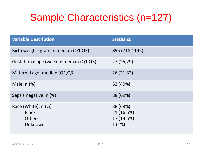# Sample Characteristics (n=127)

| <b>Variable Description</b>                                       | <b>Statistics</b>                                |
|-------------------------------------------------------------------|--------------------------------------------------|
| Birth weight (grams): median (Q1,Q3)                              | 895 (718,1145)                                   |
| Gestational age (weeks): median (Q1,Q3)                           | 27(25,29)                                        |
| Maternal age: median (Q1,Q3)                                      | 26 (21,32)                                       |
| Male: $n$ $%$                                                     | 62 (49%)                                         |
| Sepsis negative: n (%)                                            | 88 (69%)                                         |
| Race (White): $n$ (%)<br><b>Black</b><br><b>Others</b><br>Unknown | 88 (69%)<br>21 (16.5%)<br>17 (13.5%)<br>$1(1\%)$ |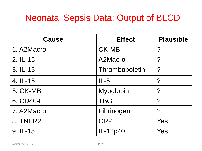#### Neonatal Sepsis Data: Output of BLCD

| <b>Cause</b> | <b>Effect</b>  | <b>Plausible</b>      |
|--------------|----------------|-----------------------|
| 1. A2Macro   | <b>CK-MB</b>   | $\boldsymbol{\gamma}$ |
| 2. IL-15     | A2Macro        | $\boldsymbol{P}$      |
| 3. IL-15     | Thrombopoietin | $\boldsymbol{P}$      |
| 4. IL-15     | $IL-5$         | $\boldsymbol{\gamma}$ |
| 5. CK-MB     | Myoglobin      | $\boldsymbol{P}$      |
| 6. CD40-L    | <b>TBG</b>     | $\boldsymbol{P}$      |
| 7. A2Macro   | Fibrinogen     | $\boldsymbol{\gamma}$ |
| 8. TNFR2     | <b>CRP</b>     | Yes                   |
| 9. IL-15     | IL-12p40       | Yes                   |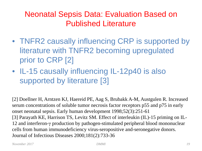#### Neonatal Sepsis Data: Evaluation Based on Published Literature

- TNFR2 causally influencing CRP is supported by literature with TNFR2 becoming upregulated prior to CRP [2]
- IL-15 causally influencing IL-12p40 is also supported by literature [3]

[2] Doellner H, Arntzen KJ, Haereid PE, Aag S, Brubakk A-M, Austgulen R. Increased serum concentrations of soluble tumor necrosis factor receptors p55 and p75 in early onset neonatal sepsis. Early human development 1998;52(3):251-61 [3] Parayath KE, Harrison TS, Levitz SM. Effect of interleukin (IL)-15 priming on IL-12 and interferon-γ production by pathogen-stimulated peripheral blood mononuclear cells from human immunodeficiency virus-seropositive and-seronegative donors. Journal of Infectious Diseases 2000;181(2):733-36

*November 2017 DMMI 19*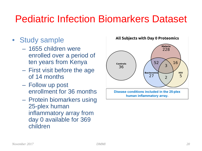## Pediatric Infection Biomarkers Dataset

- Study sample
	- 1655 children were enrolled over a period of ten years from Kenya
	- First visit before the age of 14 months
	- Follow up post enrollment for 36 months
	- Protein biomarkers using 25-plex human inflammatory array from day 0 available for 369 children

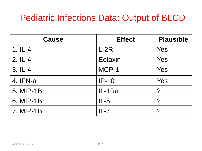#### Pediatric Infections Data: Output of BLCD

| <b>Cause</b> | <b>Effect</b> | <b>Plausible</b>  |
|--------------|---------------|-------------------|
| $1.1L-4$     | $L-2R$        | Yes               |
| $2.IL-4$     | Eotaxin       | Yes               |
| $3.1L-4$     | MCP-1         | Yes               |
| 4. IFN-a     | $IP-10$       | Yes               |
| 5. MIP-1B    | IL-1Ra        | ?                 |
| 6. MIP-1B    | $IL-5$        | ?                 |
| 7. MIP-1B    | $IL - 7$      | $\mathbf{\Omega}$ |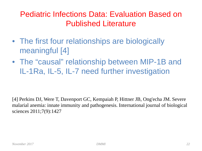#### Pediatric Infections Data: Evaluation Based on Published Literature

- The first four relationships are biologically meaningful [4]
- The "causal" relationship between MIP-1B and IL-1Ra, IL-5, IL-7 need further investigation

[4] Perkins DJ, Were T, Davenport GC, Kempaiah P, Hittner JB, Ong'echa JM. Severe malarial anemia: innate immunity and pathogenesis. International journal of biological sciences 2011;7(9):1427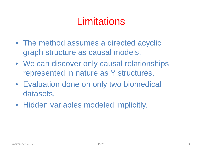## **Limitations**

- The method assumes a directed acyclic graph structure as causal models.
- We can discover only causal relationships represented in nature as Y structures.
- Evaluation done on only two biomedical datasets.
- Hidden variables modeled implicitly.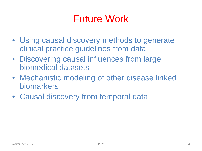## Future Work

- Using causal discovery methods to generate clinical practice guidelines from data
- Discovering causal influences from large biomedical datasets
- Mechanistic modeling of other disease linked biomarkers
- Causal discovery from temporal data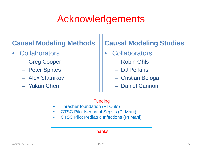# Acknowledgements

#### **Causal Modeling Methods**

- Collaborators
	- Greg Cooper
	- Peter Spirtes
	- Alex Statnikov
	- Yukun Chen

#### **Causal Modeling Studies**

- Collaborators
	- Robin Ohls
	- DJ Perkins
	- Cristian Bologa
	- Daniel Cannon

#### Funding

- Thrasher foundation (PI Ohls)
- CTSC Pilot Neonatal Sepsis (PI Mani)
- CTSC Pilot Pediatric Infections (PI Mani)

#### Thanks!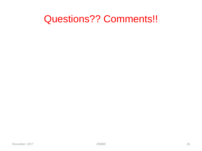#### Questions?? Comments!!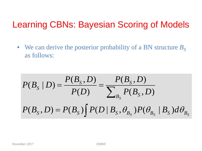#### Learning CBNs: Bayesian Scoring of Models

• We can derive the posterior probability of a BN structure  $B<sub>S</sub>$ as follows:

$$
P(B_S | D) = \frac{P(B_S, D)}{P(D)} = \frac{P(B_S, D)}{\sum_{B_S} P(B_S, D)}
$$

$$
P(B_S, D) = P(B_S) \int P(D | B_S, \theta_{B_S}) P(\theta_{B_S} | B_S) d\theta_{B_S}
$$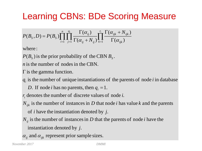#### Learning CBNs: BDe Scoring Measure

$$
P(B_S, D) = P(B_S) \prod_{i=1}^n \prod_{j=1}^{q_i} \frac{\Gamma(\alpha_{ij})}{\Gamma(\alpha_{ij} + N_{ij})} \prod_{k=1}^{r_i} \frac{\Gamma(\alpha_{ijk} + N_{ijk})}{\Gamma(\alpha_{ijk})}
$$

where :

 $P(B<sub>S</sub>)$  is the prior probability of the CBN  $B<sub>S</sub>$ .

*n* is the number of nodes in the CBN.

 $\Gamma$  is the gamma function.

 $q_i$  is the number of unique instantiations of the parents of node *i* in database

*D*. If node *i* has no parents, then  $q_i = 1$ .

 $r_i$  denotes the number of discrete values of node *i*.

of *i* have the instantiation denoted by  $j$ .  $N_{ijk}$  is the number of instances in  $D$  that node *i* has value  $k$  and the parents

- instantiation denoted by *j*.  $N_{ij}$  is the number of instances in  $D$  that the parents of node *i* have the
- $\alpha_{ij}$  and  $\alpha_{ijk}$  represent prior sample sizes.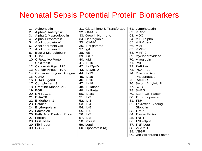#### Neonatal Sepsis Potential Protein Biomarkers

| Adiponectin<br>1.              | 31. Glutathione S-Transferase | 61. Lymphotactin          |
|--------------------------------|-------------------------------|---------------------------|
| 2.<br>Alpha-1 Antitrypsin      | 32. GM-CSF                    | 62. MCP-1                 |
| 3.<br>Alpha-2 Macroglobulin    | 33. Growth Hormone            | 63. MDC                   |
| Alpha-Fetoprotein<br>4.        | 34. Haptoglobin               | 64. MIP-1alpha            |
| Apolipoprotein A1<br>5.        | 35. ICAM-1                    | 65. MIP-1beta             |
| Apolipoprotein CIII<br>6.      | 36. IFN-gamma                 | 66. MMP-2                 |
| Apolipoprotein H<br>7.         | 37. IgA                       | 67. MMP-3                 |
| Beta-2 Microglobulin<br>8.     | 38. IgE                       | 68. MMP-9                 |
| <b>BDNF</b><br>9.              | 39. IGF-1                     | 69. Myeloperoxidase       |
| 10. C Reactive Protein         | 40. IgM                       | 70. Myoglobin             |
| 11. Calcitonin                 | 41. IL-10                     | 71. PAI-1                 |
| 12. Cancer Antigen 125         | 42. IL-12p40                  | 72. PAPP-A                |
| 13. Cancer Antigen 19-9        | 43. IL-12p70                  | 73. PSA-Free              |
| 14. Carcinoembryonic Antigen   | 44. IL-13                     | 74. Prostatic Acid        |
| 15. CD40                       | 45. IL-15                     | Phosphatase               |
| 16. CD40 Ligand                | 46. IL-16                     | 75. RANTES                |
| 17. Complement 3               | 47. IL-18                     | 76. Serum Amyloid P       |
| 18. Creatine Kinase-MB         | 48. IL-1alpha                 | 77. SGOT                  |
| 19. EGF                        | 49. IL-1beta                  | 78. SHBG                  |
| 20. EN-RAGE                    | 50. IL-1ra                    | 79. Stem Cell Factor      |
| 21. ENA-78                     | 51. IL-2                      | 80. Thrombopoietin        |
| 22. Endothelin-1               | 52. IL-3                      | 81. TSH                   |
| 23. Eotaxin                    | 53. IL-4                      | 82. Thyroxine Binding     |
| 24. Erythropoietin             | 54. IL-5                      | Globulin                  |
| 25. Factor VII                 | 55. IL-6                      | 83. TIMP-1                |
| 26. Fatty Acid Binding Protein | 56. IL-7                      | 84. Tissue Factor         |
| 27. Ferritin                   | 57. IL-8                      | 85. TNF RII               |
| 28. FGF basic                  | 58. Insulin                   | 86. TNF-alpha             |
| 29. Fibrinogen                 | 59. Leptin                    | 87. TNF-beta              |
| 30. G-CSF                      | 60. Lipoprotein (a)           | 88. VCAM-1                |
|                                |                               | 89. VEGF                  |
|                                |                               | 90. von Willebrand Factor |